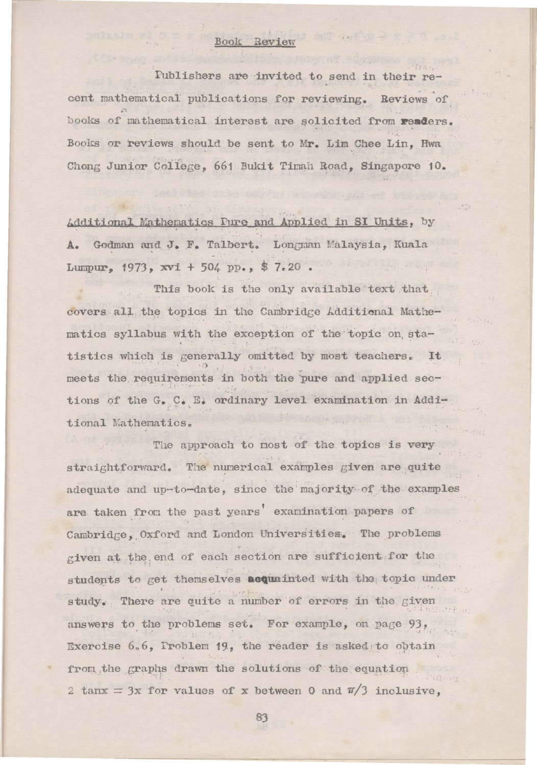## Book Review

Publishers are invited to send in their recent mathematical publications for reviewing. Reviews of books of mathematical interest are solicited from readers. Books or reviews should be sent to Mr. Lim Chee Lin. Hwa Chong Junior College, 661 Bukit Timah Road, Singapore 10.

Additional Mathematics Fure and Applied in SI Units, by A. Godman and J. F. Talbert. Longman Malaysia, Kuala Lumpur, 1973, xvi + 504 pp., \$7.20. the common

This book is the only available text that covers all the topics in the Cambridge Additional Mathematics syllabus with the exception of the topic on statistics which is generally omitted by most teachers. It meets the requirements in both the pure and applied sections of the G. C. E. ordinary level examination in Additional Mathematics.

The approach to most of the topics is very straightforward. The numerical examples given are quite adequate and up-to-date, since the majority of the examples are taken from the past years' examination papers of Cambridge, Oxford and London Universities. The problems given at the end of each section are sufficient for the students to get themselves acquainted with the topic under study. There are quite a number of errors in the given answers to the problems set. For example, on page 93, Exercise 6.6, Problem 19, the reader is asked to obtain from the graphs drawn the solutions of the equation 2 tanx = 3x for values of x between 0 and  $\pi/3$  inclusive,

83